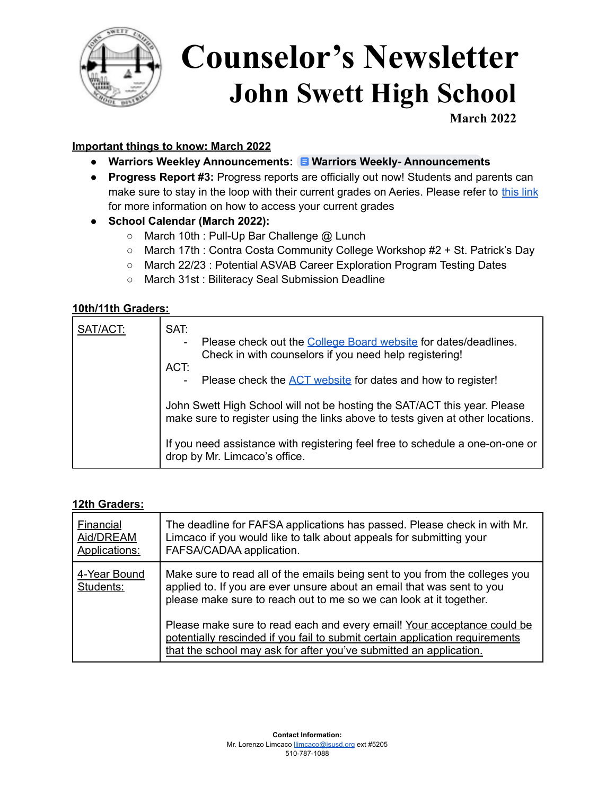

# **Counselor's Newsletter John Swett High School**

**March 2022**

### **Important things to know: March 2022**

- **● Warriors Weekley Announcements: Warriors Weekly- [Announcement](https://docs.google.com/document/d/1K3AQzCxEy1ma2LP6mp3eJpgCqQN6lNk_0L-qEAfPHSY/edit?usp=sharing)s**
- **● Progress Report #3:** Progress reports are officially out now! Students and parents can make sure to stay in the loop with their current grades on Aeries. Please refer to [this](https://drive.google.com/file/d/1VRbzie8746C0rFUBKYfmX7sWMMGYTZnj/view?usp=sharing) link for more information on how to access your current grades
- **● School Calendar (March 2022):**
	- March 10th : Pull-Up Bar Challenge @ Lunch
	- March 17th : Contra Costa Community College Workshop #2 + St. Patrick's Day
	- March 22/23 : Potential ASVAB Career Exploration Program Testing Dates
	- March 31st : Biliteracy Seal Submission Deadline

#### **10th/11th Graders:**

| SAT/ACT: | SAT:<br>Please check out the College Board website for dates/deadlines.<br>Check in with counselors if you need help registering!<br>ACT:<br>Please check the <b>ACT</b> website for dates and how to register!                                                              |
|----------|------------------------------------------------------------------------------------------------------------------------------------------------------------------------------------------------------------------------------------------------------------------------------|
|          | John Swett High School will not be hosting the SAT/ACT this year. Please<br>make sure to register using the links above to tests given at other locations.<br>If you need assistance with registering feel free to schedule a one-on-one or<br>drop by Mr. Limcaco's office. |

#### **12th Graders:**

| <b>Financial</b><br>Aid/DREAM<br>Applications: | The deadline for FAFSA applications has passed. Please check in with Mr.<br>Limcaco if you would like to talk about appeals for submitting your<br>FAFSA/CADAA application.                                                   |
|------------------------------------------------|-------------------------------------------------------------------------------------------------------------------------------------------------------------------------------------------------------------------------------|
| 4-Year Bound<br>Students:                      | Make sure to read all of the emails being sent to you from the colleges you<br>applied to. If you are ever unsure about an email that was sent to you<br>please make sure to reach out to me so we can look at it together.   |
|                                                | Please make sure to read each and every email! Your acceptance could be<br>potentially rescinded if you fail to submit certain application requirements<br>that the school may ask for after you've submitted an application. |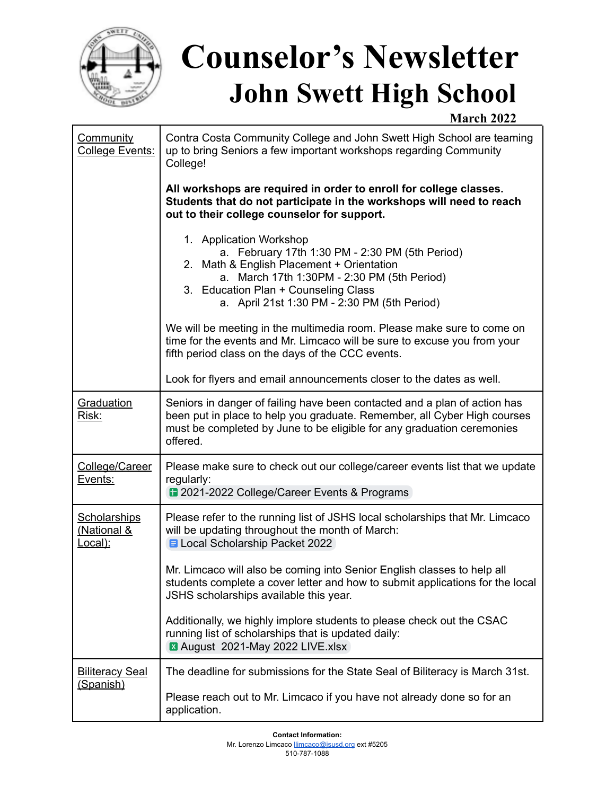

# **Counselor's Newsletter John Swett High School**

## **March 2022**

| <b>Community</b><br>College Events:                      | Contra Costa Community College and John Swett High School are teaming<br>up to bring Seniors a few important workshops regarding Community<br>College!                                                                                                         |
|----------------------------------------------------------|----------------------------------------------------------------------------------------------------------------------------------------------------------------------------------------------------------------------------------------------------------------|
|                                                          | All workshops are required in order to enroll for college classes.<br>Students that do not participate in the workshops will need to reach<br>out to their college counselor for support.                                                                      |
|                                                          | 1. Application Workshop<br>a. February 17th 1:30 PM - 2:30 PM (5th Period)<br>2. Math & English Placement + Orientation<br>a. March 17th 1:30PM - 2:30 PM (5th Period)<br>3. Education Plan + Counseling Class<br>a. April 21st 1:30 PM - 2:30 PM (5th Period) |
|                                                          | We will be meeting in the multimedia room. Please make sure to come on<br>time for the events and Mr. Limcaco will be sure to excuse you from your<br>fifth period class on the days of the CCC events.                                                        |
|                                                          | Look for flyers and email announcements closer to the dates as well.                                                                                                                                                                                           |
| Graduation<br>Risk:                                      | Seniors in danger of failing have been contacted and a plan of action has<br>been put in place to help you graduate. Remember, all Cyber High courses<br>must be completed by June to be eligible for any graduation ceremonies<br>offered.                    |
| College/Career<br>Events:                                | Please make sure to check out our college/career events list that we update<br>regularly:<br>2021-2022 College/Career Events & Programs                                                                                                                        |
| <b>Scholarships</b><br><u>(National &amp;</u><br>Local): | Please refer to the running list of JSHS local scholarships that Mr. Limcaco<br>will be updating throughout the month of March:<br><b>E</b> Local Scholarship Packet 2022                                                                                      |
|                                                          | Mr. Limcaco will also be coming into Senior English classes to help all<br>students complete a cover letter and how to submit applications for the local<br>JSHS scholarships available this year.                                                             |
|                                                          | Additionally, we highly implore students to please check out the CSAC<br>running list of scholarships that is updated daily:<br>X August 2021-May 2022 LIVE.xlsx                                                                                               |
| <b>Biliteracy Seal</b><br>(Spanish)                      | The deadline for submissions for the State Seal of Biliteracy is March 31st.<br>Please reach out to Mr. Limcaco if you have not already done so for an<br>application.                                                                                         |